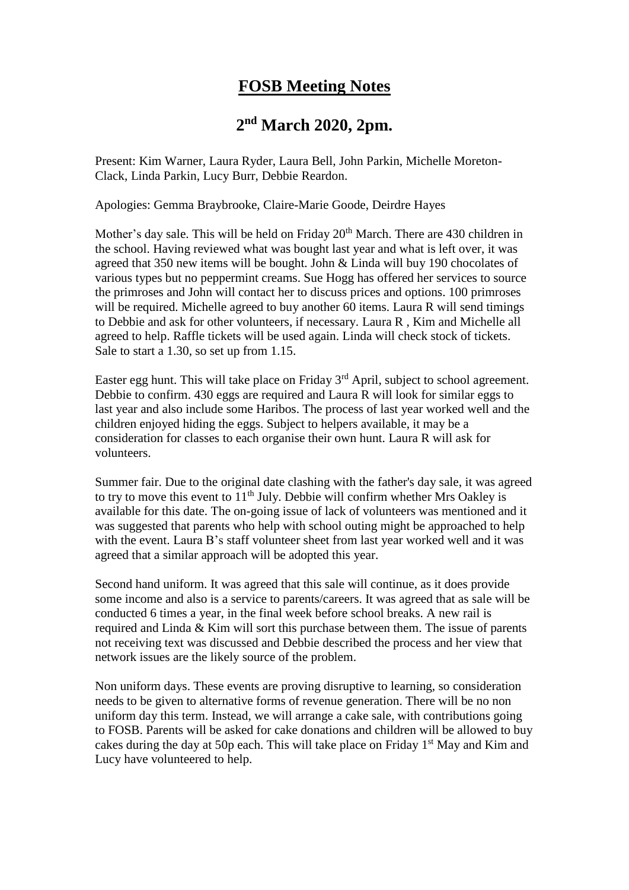## **FOSB Meeting Notes**

## **2 nd March 2020, 2pm.**

Present: Kim Warner, Laura Ryder, Laura Bell, John Parkin, Michelle Moreton-Clack, Linda Parkin, Lucy Burr, Debbie Reardon.

Apologies: Gemma Braybrooke, Claire-Marie Goode, Deirdre Hayes

Mother's day sale. This will be held on Friday  $20<sup>th</sup>$  March. There are 430 children in the school. Having reviewed what was bought last year and what is left over, it was agreed that 350 new items will be bought. John & Linda will buy 190 chocolates of various types but no peppermint creams. Sue Hogg has offered her services to source the primroses and John will contact her to discuss prices and options. 100 primroses will be required. Michelle agreed to buy another 60 items. Laura R will send timings to Debbie and ask for other volunteers, if necessary. Laura R , Kim and Michelle all agreed to help. Raffle tickets will be used again. Linda will check stock of tickets. Sale to start a 1.30, so set up from 1.15.

Easter egg hunt. This will take place on Friday  $3<sup>rd</sup>$  April, subject to school agreement. Debbie to confirm. 430 eggs are required and Laura R will look for similar eggs to last year and also include some Haribos. The process of last year worked well and the children enjoyed hiding the eggs. Subject to helpers available, it may be a consideration for classes to each organise their own hunt. Laura R will ask for volunteers.

Summer fair. Due to the original date clashing with the father's day sale, it was agreed to try to move this event to  $11<sup>th</sup>$  July. Debbie will confirm whether Mrs Oakley is available for this date. The on-going issue of lack of volunteers was mentioned and it was suggested that parents who help with school outing might be approached to help with the event. Laura B's staff volunteer sheet from last year worked well and it was agreed that a similar approach will be adopted this year.

Second hand uniform. It was agreed that this sale will continue, as it does provide some income and also is a service to parents/careers. It was agreed that as sale will be conducted 6 times a year, in the final week before school breaks. A new rail is required and Linda & Kim will sort this purchase between them. The issue of parents not receiving text was discussed and Debbie described the process and her view that network issues are the likely source of the problem.

Non uniform days. These events are proving disruptive to learning, so consideration needs to be given to alternative forms of revenue generation. There will be no non uniform day this term. Instead, we will arrange a cake sale, with contributions going to FOSB. Parents will be asked for cake donations and children will be allowed to buy cakes during the day at 50p each. This will take place on Friday 1st May and Kim and Lucy have volunteered to help.